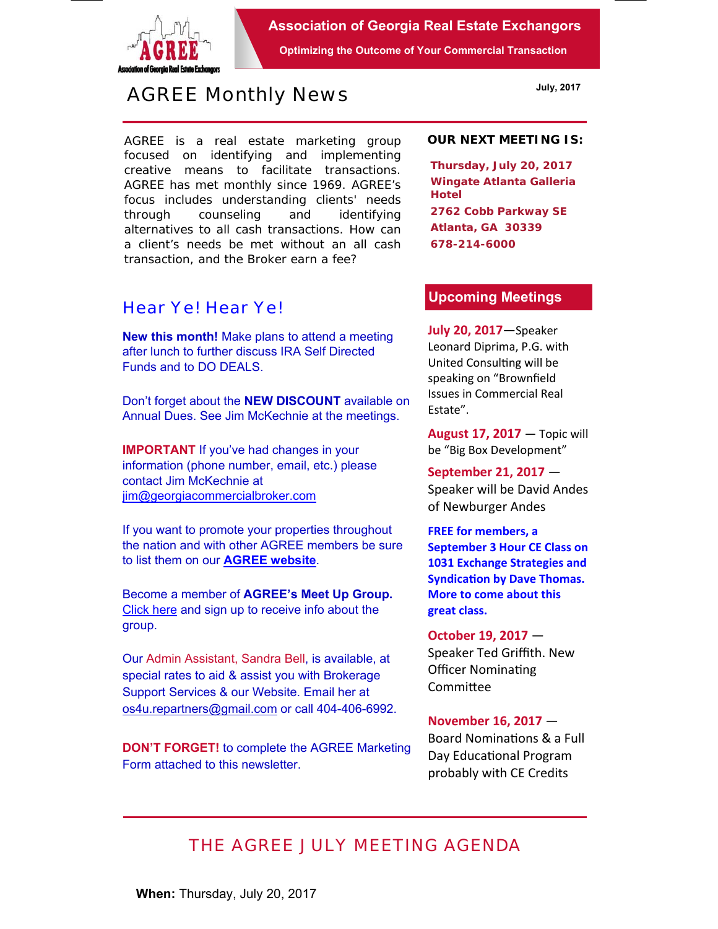

**Association of Georgia Real Estate Exchangors** 

**Optimizing the Outcome of Your Commercial Transaction** 

# *AGREE Monthly News*

AGREE is a real estate marketing group focused on identifying and implementing creative means to facilitate transactions. *AGREE has met monthly since 1969.* AGREE's focus includes understanding clients' needs through counseling and identifying alternatives to all cash transactions. How can a client's needs be met without an all cash transaction, and the Broker earn a fee?

## *Hear Ye! Hear Ye!*

**New this month!** Make plans to attend a meeting after lunch to further discuss IRA Self Directed Funds and to DO DEALS.

Don't forget about the **NEW DISCOUNT** available on Annual Dues. See Jim McKechnie at the meetings.

**IMPORTANT** If you've had changes in your information (phone number, email, etc.) please contact Jim McKechnie at jim@georgiacommercialbroker.com

If you want to promote your properties throughout the nation and with other AGREE members be sure to list them on our **AGREE website**.

Become a member of **AGREE's Meet Up Group.**  Click here and sign up to receive info about the group.

Our Admin Assistant, Sandra Bell, is available, at special rates to aid & assist you with Brokerage Support Services & our Website. Email her at os4u.repartners@gmail.com or call 404-406-6992.

**DON'T FORGET!** to complete the AGREE Marketing Form attached to this newsletter.

#### **OUR NEXT MEETING IS:**

**Thursday, July 20, 2017 Wingate Atlanta Galleria Hotel 2762 Cobb Parkway SE Atlanta, GA 30339 678-214-6000** 

### **Upcoming Meetings**

**July 20, 2017**—Speaker Leonard Diprima, P.G. with United Consulting will be speaking on "Brownfield Issues in Commercial Real Estate".

**August 17, 2017** — Topic will be "Big Box Development"

**September 21, 2017** — Speaker will be David Andes of Newburger Andes

**FREE for members, a September 3 Hour CE Class on 1031 Exchange Strategies and Syndication by Dave Thomas. More to come about this great class.** 

**October 19, 2017** — Speaker Ted Griffith. New Officer Nominating **Committee** 

## **November 16, 2017** —

Board Nominations & a Full Day Educational Program probably with CE Credits

## *THE AGREE JULY MEETING AGENDA*

**When:** Thursday, July 20, 2017

**July, 2017**